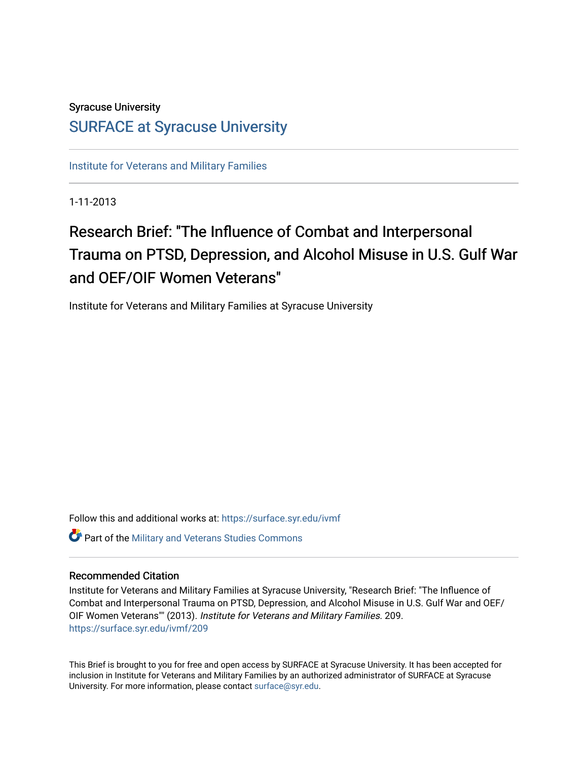### Syracuse University

### [SURFACE at Syracuse University](https://surface.syr.edu/)

[Institute for Veterans and Military Families](https://surface.syr.edu/ivmf)

1-11-2013

## Research Brief: "The Influence of Combat and Interpersonal Trauma on PTSD, Depression, and Alcohol Misuse in U.S. Gulf War and OEF/OIF Women Veterans"

Institute for Veterans and Military Families at Syracuse University

Follow this and additional works at: [https://surface.syr.edu/ivmf](https://surface.syr.edu/ivmf?utm_source=surface.syr.edu%2Fivmf%2F209&utm_medium=PDF&utm_campaign=PDFCoverPages)  Part of the [Military and Veterans Studies Commons](http://network.bepress.com/hgg/discipline/396?utm_source=surface.syr.edu%2Fivmf%2F209&utm_medium=PDF&utm_campaign=PDFCoverPages)

#### Recommended Citation

Institute for Veterans and Military Families at Syracuse University, "Research Brief: "The Influence of Combat and Interpersonal Trauma on PTSD, Depression, and Alcohol Misuse in U.S. Gulf War and OEF/ OIF Women Veterans"" (2013). Institute for Veterans and Military Families. 209. [https://surface.syr.edu/ivmf/209](https://surface.syr.edu/ivmf/209?utm_source=surface.syr.edu%2Fivmf%2F209&utm_medium=PDF&utm_campaign=PDFCoverPages) 

This Brief is brought to you for free and open access by SURFACE at Syracuse University. It has been accepted for inclusion in Institute for Veterans and Military Families by an authorized administrator of SURFACE at Syracuse University. For more information, please contact [surface@syr.edu.](mailto:surface@syr.edu)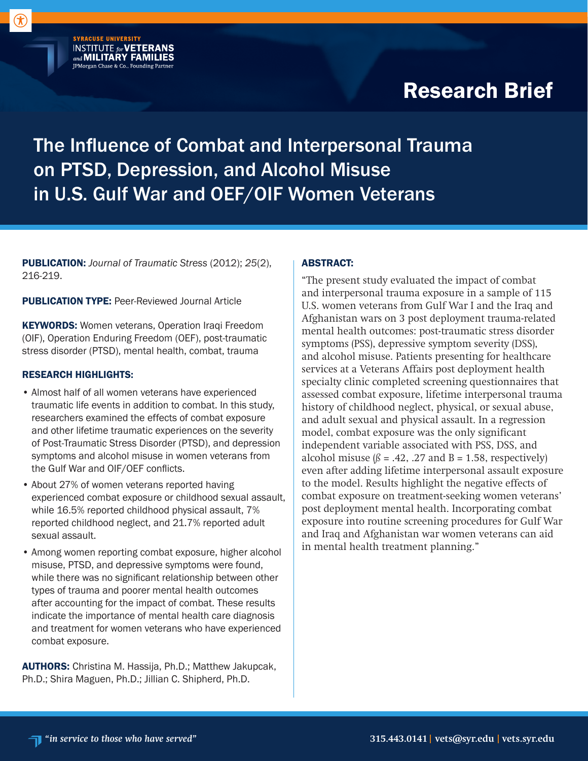# Research Brief

## The Influence of Combat and Interpersonal Trauma on PTSD, Depression, and Alcohol Misuse in U.S. Gulf War and OEF/OIF Women Veterans

PUBLICATION: *Journal of Traumatic Stress* (2012); *25*(2), 216-219.

PUBLICATION TYPE: Peer-Reviewed Journal Article

**SYRACUSE UNIVERSITY** 

**INSTITUTE for VETERANS**<br>and **MILITARY FAMILIES** JPMorgan Chase & Co., Founding Partner

KEYWORDS: Women veterans, Operation Iraqi Freedom (OIF), Operation Enduring Freedom (OEF), post-traumatic stress disorder (PTSD), mental health, combat, trauma

#### RESEARCH HIGHLIGHTS:

- Almost half of all women veterans have experienced traumatic life events in addition to combat. In this study, researchers examined the effects of combat exposure and other lifetime traumatic experiences on the severity of Post-Traumatic Stress Disorder (PTSD), and depression symptoms and alcohol misuse in women veterans from the Gulf War and OIF/OEF conflicts.
- About 27% of women veterans reported having experienced combat exposure or childhood sexual assault, while 16.5% reported childhood physical assault, 7% reported childhood neglect, and 21.7% reported adult sexual assault.
- Among women reporting combat exposure, higher alcohol misuse, PTSD, and depressive symptoms were found, while there was no significant relationship between other types of trauma and poorer mental health outcomes after accounting for the impact of combat. These results indicate the importance of mental health care diagnosis and treatment for women veterans who have experienced combat exposure.

AUTHORS: Christina M. Hassija, Ph.D.; Matthew Jakupcak, Ph.D.; Shira Maguen, Ph.D.; Jillian C. Shipherd, Ph.D.

#### ABSTRACT:

"The present study evaluated the impact of combat and interpersonal trauma exposure in a sample of 115 U.S. women veterans from Gulf War I and the Iraq and Afghanistan wars on 3 post deployment trauma-related mental health outcomes: post-traumatic stress disorder symptoms (PSS), depressive symptom severity (DSS), and alcohol misuse. Patients presenting for healthcare services at a Veterans Affairs post deployment health specialty clinic completed screening questionnaires that assessed combat exposure, lifetime interpersonal trauma history of childhood neglect, physical, or sexual abuse, and adult sexual and physical assault. In a regression model, combat exposure was the only significant independent variable associated with PSS, DSS, and alcohol misuse  $(\beta = .42, .27 \text{ and } B = 1.58,$  respectively) even after adding lifetime interpersonal assault exposure to the model. Results highlight the negative effects of combat exposure on treatment-seeking women veterans' post deployment mental health. Incorporating combat exposure into routine screening procedures for Gulf War and Iraq and Afghanistan war women veterans can aid in mental health treatment planning."